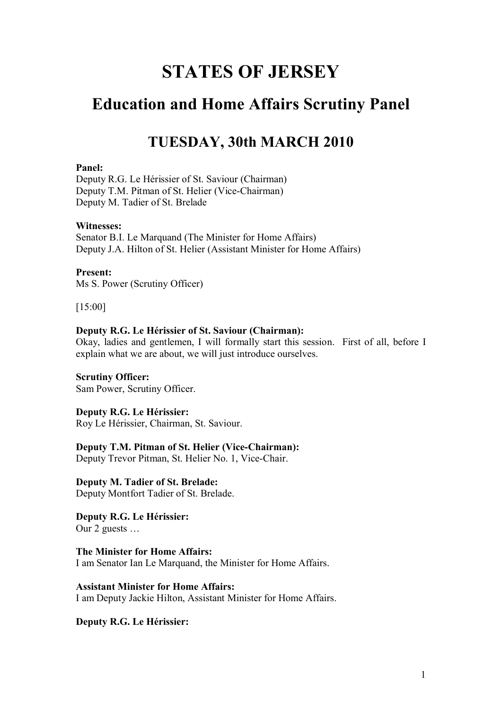# **STATES OF JERSEY**

## **Education and Home Affairs Scrutiny Panel**

### **TUESDAY, 30th MARCH 2010**

#### **Panel:**

Deputy R.G. Le Hérissier of St. Saviour (Chairman) Deputy T.M. Pitman of St. Helier (Vice-Chairman) Deputy M. Tadier of St. Brelade

#### **Witnesses:**

Senator B.I. Le Marquand (The Minister for Home Affairs) Deputy J.A. Hilton of St. Helier (Assistant Minister for Home Affairs)

#### **Present:**

Ms S. Power (Scrutiny Officer)

[15:00]

#### **Deputy R.G. Le Hérissier of St. Saviour (Chairman):**

Okay, ladies and gentlemen, I will formally start this session. First of all, before I explain what we are about, we will just introduce ourselves.

#### **Scrutiny Officer:**

Sam Power, Scrutiny Officer.

#### **Deputy R.G. Le Hérissier:**

Roy Le Hérissier, Chairman, St. Saviour.

#### **Deputy T.M. Pitman of St. Helier (Vice-Chairman):**

Deputy Trevor Pitman, St. Helier No. 1, Vice-Chair.

**Deputy M. Tadier of St. Brelade:** Deputy Montfort Tadier of St. Brelade.

**Deputy R.G. Le Hérissier:** Our 2 guests …

**The Minister for Home Affairs:** I am Senator Ian Le Marquand, the Minister for Home Affairs.

**Assistant Minister for Home Affairs:** I am Deputy Jackie Hilton, Assistant Minister for Home Affairs.

**Deputy R.G. Le Hérissier:**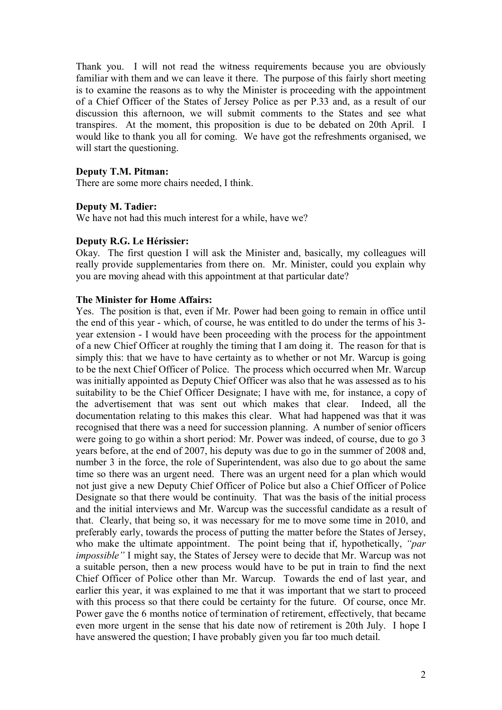Thank you. I will not read the witness requirements because you are obviously familiar with them and we can leave it there. The purpose of this fairly short meeting is to examine the reasons as to why the Minister is proceeding with the appointment of a Chief Officer of the States of Jersey Police as per P.33 and, as a result of our discussion this afternoon, we will submit comments to the States and see what transpires. At the moment, this proposition is due to be debated on 20th April. I would like to thank you all for coming. We have got the refreshments organised, we will start the questioning.

#### **Deputy T.M. Pitman:**

There are some more chairs needed, I think.

#### **Deputy M. Tadier:**

We have not had this much interest for a while, have we?

#### **Deputy R.G. Le Hérissier:**

Okay. The first question I will ask the Minister and, basically, my colleagues will really provide supplementaries from there on. Mr. Minister, could you explain why you are moving ahead with this appointment at that particular date?

#### **The Minister for Home Affairs:**

Yes. The position is that, even if Mr. Power had been going to remain in office until the end of this year - which, of course, he was entitled to do under the terms of his 3 year extension - I would have been proceeding with the process for the appointment of a new Chief Officer at roughly the timing that I am doing it. The reason for that is simply this: that we have to have certainty as to whether or not Mr. Warcup is going to be the next Chief Officer of Police. The process which occurred when Mr. Warcup was initially appointed as Deputy Chief Officer was also that he was assessed as to his suitability to be the Chief Officer Designate; I have with me, for instance, a copy of the advertisement that was sent out which makes that clear. Indeed, all the documentation relating to this makes this clear. What had happened was that it was recognised that there was a need for succession planning. A number of senior officers were going to go within a short period: Mr. Power was indeed, of course, due to go 3 years before, at the end of 2007, his deputy was due to go in the summer of 2008 and, number 3 in the force, the role of Superintendent, was also due to go about the same time so there was an urgent need. There was an urgent need for a plan which would not just give a new Deputy Chief Officer of Police but also a Chief Officer of Police Designate so that there would be continuity. That was the basis of the initial process and the initial interviews and Mr. Warcup was the successful candidate as a result of that. Clearly, that being so, it was necessary for me to move some time in 2010, and preferably early, towards the process of putting the matter before the States of Jersey, who make the ultimate appointment. The point being that if, hypothetically, *"par impossible"* I might say, the States of Jersey were to decide that Mr. Warcup was not a suitable person, then a new process would have to be put in train to find the next Chief Officer of Police other than Mr. Warcup. Towards the end of last year, and earlier this year, it was explained to me that it was important that we start to proceed with this process so that there could be certainty for the future. Of course, once Mr. Power gave the 6 months notice of termination of retirement, effectively, that became even more urgent in the sense that his date now of retirement is 20th July. I hope I have answered the question; I have probably given you far too much detail.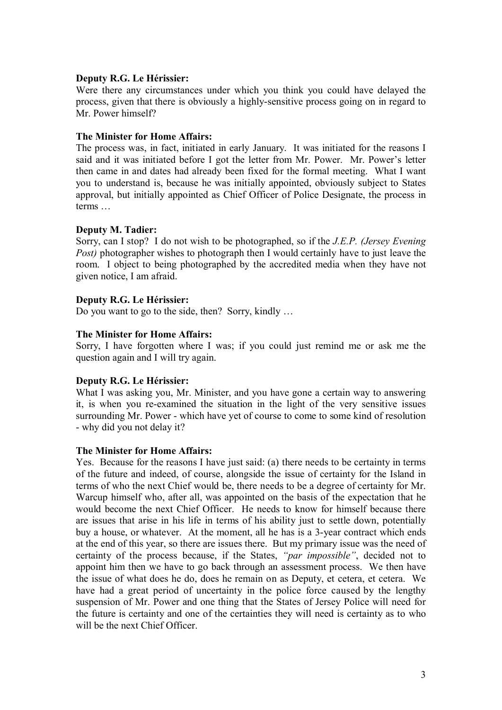#### **Deputy R.G. Le Hérissier:**

Were there any circumstances under which you think you could have delayed the process, given that there is obviously a highly-sensitive process going on in regard to Mr. Power himself?

#### **The Minister for Home Affairs:**

The process was, in fact, initiated in early January. It was initiated for the reasons I said and it was initiated before I got the letter from Mr. Power. Mr. Power's letter then came in and dates had already been fixed for the formal meeting. What I want you to understand is, because he was initially appointed, obviously subject to States approval, but initially appointed as Chief Officer of Police Designate, the process in terms …

#### **Deputy M. Tadier:**

Sorry, can I stop? I do not wish to be photographed, so if the *J.E.P. (Jersey Evening Post*) photographer wishes to photograph then I would certainly have to just leave the room. I object to being photographed by the accredited media when they have not given notice, I am afraid.

#### **Deputy R.G. Le Hérissier:**

Do you want to go to the side, then? Sorry, kindly …

#### **The Minister for Home Affairs:**

Sorry, I have forgotten where I was; if you could just remind me or ask me the question again and I will try again.

#### **Deputy R.G. Le Hérissier:**

What I was asking you, Mr. Minister, and you have gone a certain way to answering it, is when you re-examined the situation in the light of the very sensitive issues surrounding Mr. Power - which have yet of course to come to some kind of resolution - why did you not delay it?

#### **The Minister for Home Affairs:**

Yes. Because for the reasons I have just said: (a) there needs to be certainty in terms of the future and indeed, of course, alongside the issue of certainty for the Island in terms of who the next Chief would be, there needs to be a degree of certainty for Mr. Warcup himself who, after all, was appointed on the basis of the expectation that he would become the next Chief Officer. He needs to know for himself because there are issues that arise in his life in terms of his ability just to settle down, potentially buy a house, or whatever. At the moment, all he has is a 3-year contract which ends at the end of this year, so there are issues there. But my primary issue was the need of certainty of the process because, if the States, *"par impossible"*, decided not to appoint him then we have to go back through an assessment process. We then have the issue of what does he do, does he remain on as Deputy, et cetera, et cetera. We have had a great period of uncertainty in the police force caused by the lengthy suspension of Mr. Power and one thing that the States of Jersey Police will need for the future is certainty and one of the certainties they will need is certainty as to who will be the next Chief Officer.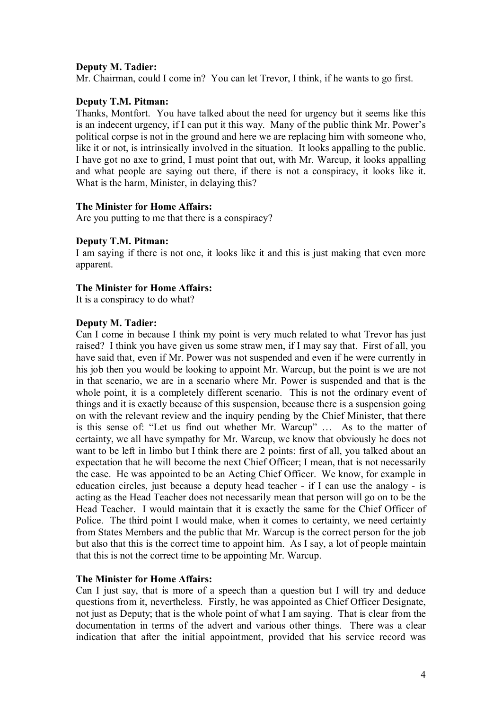#### **Deputy M. Tadier:**

Mr. Chairman, could I come in? You can let Trevor, I think, if he wants to go first.

#### **Deputy T.M. Pitman:**

Thanks, Montfort. You have talked about the need for urgency but it seems like this is an indecent urgency, if I can put it this way. Many of the public think Mr. Power's political corpse is not in the ground and here we are replacing him with someone who, like it or not, is intrinsically involved in the situation. It looks appalling to the public. I have got no axe to grind, I must point that out, with Mr. Warcup, it looks appalling and what people are saying out there, if there is not a conspiracy, it looks like it. What is the harm, Minister, in delaying this?

#### **The Minister for Home Affairs:**

Are you putting to me that there is a conspiracy?

#### **Deputy T.M. Pitman:**

I am saying if there is not one, it looks like it and this is just making that even more apparent.

#### **The Minister for Home Affairs:**

It is a conspiracy to do what?

#### **Deputy M. Tadier:**

Can I come in because I think my point is very much related to what Trevor has just raised? I think you have given us some straw men, if I may say that. First of all, you have said that, even if Mr. Power was not suspended and even if he were currently in his job then you would be looking to appoint Mr. Warcup, but the point is we are not in that scenario, we are in a scenario where Mr. Power is suspended and that is the whole point, it is a completely different scenario. This is not the ordinary event of things and it is exactly because of this suspension, because there is a suspension going on with the relevant review and the inquiry pending by the Chief Minister, that there is this sense of: "Let us find out whether Mr. Warcup" … As to the matter of certainty, we all have sympathy for Mr. Warcup, we know that obviously he does not want to be left in limbo but I think there are 2 points: first of all, you talked about an expectation that he will become the next Chief Officer; I mean, that is not necessarily the case. He was appointed to be an Acting Chief Officer. We know, for example in education circles, just because a deputy head teacher - if I can use the analogy - is acting as the Head Teacher does not necessarily mean that person will go on to be the Head Teacher. I would maintain that it is exactly the same for the Chief Officer of Police. The third point I would make, when it comes to certainty, we need certainty from States Members and the public that Mr. Warcup is the correct person for the job but also that this is the correct time to appoint him. As I say, a lot of people maintain that this is not the correct time to be appointing Mr. Warcup.

#### **The Minister for Home Affairs:**

Can I just say, that is more of a speech than a question but I will try and deduce questions from it, nevertheless. Firstly, he was appointed as Chief Officer Designate, not just as Deputy; that is the whole point of what I am saying. That is clear from the documentation in terms of the advert and various other things. There was a clear indication that after the initial appointment, provided that his service record was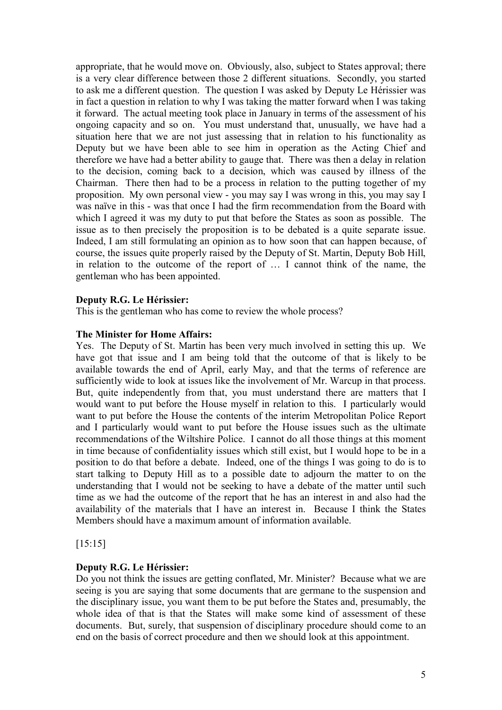appropriate, that he would move on. Obviously, also, subject to States approval; there is a very clear difference between those 2 different situations. Secondly, you started to ask me a different question. The question I was asked by Deputy Le Hérissier was in fact a question in relation to why I was taking the matter forward when I was taking it forward. The actual meeting took place in January in terms of the assessment of his ongoing capacity and so on. You must understand that, unusually, we have had a situation here that we are not just assessing that in relation to his functionality as Deputy but we have been able to see him in operation as the Acting Chief and therefore we have had a better ability to gauge that. There was then a delay in relation to the decision, coming back to a decision, which was caused by illness of the Chairman. There then had to be a process in relation to the putting together of my proposition. My own personal view - you may say I was wrong in this, you may say I was naïve in this - was that once I had the firm recommendation from the Board with which I agreed it was my duty to put that before the States as soon as possible. The issue as to then precisely the proposition is to be debated is a quite separate issue. Indeed, I am still formulating an opinion as to how soon that can happen because, of course, the issues quite properly raised by the Deputy of St. Martin, Deputy Bob Hill, in relation to the outcome of the report of … I cannot think of the name, the gentleman who has been appointed.

#### **Deputy R.G. Le Hérissier:**

This is the gentleman who has come to review the whole process?

#### **The Minister for Home Affairs:**

Yes. The Deputy of St. Martin has been very much involved in setting this up. We have got that issue and I am being told that the outcome of that is likely to be available towards the end of April, early May, and that the terms of reference are sufficiently wide to look at issues like the involvement of Mr. Warcup in that process. But, quite independently from that, you must understand there are matters that I would want to put before the House myself in relation to this. I particularly would want to put before the House the contents of the interim Metropolitan Police Report and I particularly would want to put before the House issues such as the ultimate recommendations of the Wiltshire Police. I cannot do all those things at this moment in time because of confidentiality issues which still exist, but I would hope to be in a position to do that before a debate. Indeed, one of the things I was going to do is to start talking to Deputy Hill as to a possible date to adjourn the matter to on the understanding that I would not be seeking to have a debate of the matter until such time as we had the outcome of the report that he has an interest in and also had the availability of the materials that I have an interest in. Because I think the States Members should have a maximum amount of information available.

[15:15]

#### **Deputy R.G. Le Hérissier:**

Do you not think the issues are getting conflated, Mr. Minister? Because what we are seeing is you are saying that some documents that are germane to the suspension and the disciplinary issue, you want them to be put before the States and, presumably, the whole idea of that is that the States will make some kind of assessment of these documents. But, surely, that suspension of disciplinary procedure should come to an end on the basis of correct procedure and then we should look at this appointment.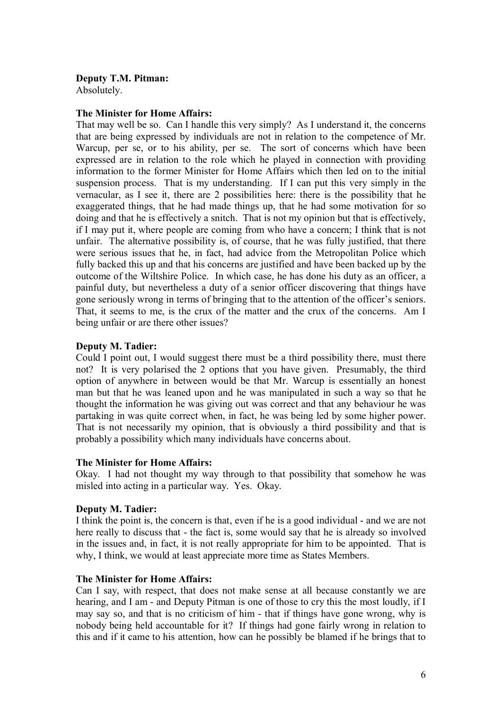#### **Deputy T.M. Pitman:**

Absolutely.

#### **The Minister for Home Affairs:**

That may well be so. Can I handle this very simply? As I understand it, the concerns that are being expressed by individuals are not in relation to the competence of Mr. Warcup, per se, or to his ability, per se. The sort of concerns which have been expressed are in relation to the role which he played in connection with providing information to the former Minister for Home Affairs which then led on to the initial suspension process. That is my understanding. If I can put this very simply in the vernacular, as I see it, there are 2 possibilities here: there is the possibility that he exaggerated things, that he had made things up, that he had some motivation for so doing and that he is effectively a snitch. That is not my opinion but that is effectively, if I may put it, where people are coming from who have a concern; I think that is not unfair. The alternative possibility is, of course, that he was fully justified, that there were serious issues that he, in fact, had advice from the Metropolitan Police which fully backed this up and that his concerns are justified and have been backed up by the outcome of the Wiltshire Police. In which case, he has done his duty as an officer, a painful duty, but nevertheless a duty of a senior officer discovering that things have gone seriously wrong in terms of bringing that to the attention of the officer's seniors. That, it seems to me, is the crux of the matter and the crux of the concerns. Am I being unfair or are there other issues?

#### **Deputy M. Tadier:**

Could I point out, I would suggest there must be a third possibility there, must there not? It is very polarised the 2 options that you have given. Presumably, the third option of anywhere in between would be that Mr. Warcup is essentially an honest man but that he was leaned upon and he was manipulated in such a way so that he thought the information he was giving out was correct and that any behaviour he was partaking in was quite correct when, in fact, he was being led by some higher power. That is not necessarily my opinion, that is obviously a third possibility and that is probably a possibility which many individuals have concerns about.

#### **The Minister for Home Affairs:**

Okay. I had not thought my way through to that possibility that somehow he was misled into acting in a particular way. Yes. Okay.

#### **Deputy M. Tadier:**

I think the point is, the concern is that, even if he is a good individual - and we are not here really to discuss that - the fact is, some would say that he is already so involved in the issues and, in fact, it is not really appropriate for him to be appointed. That is why, I think, we would at least appreciate more time as States Members.

#### **The Minister for Home Affairs:**

Can I say, with respect, that does not make sense at all because constantly we are hearing, and I am - and Deputy Pitman is one of those to cry this the most loudly, if I may say so, and that is no criticism of him - that if things have gone wrong, why is nobody being held accountable for it? If things had gone fairly wrong in relation to this and if it came to his attention, how can he possibly be blamed if he brings that to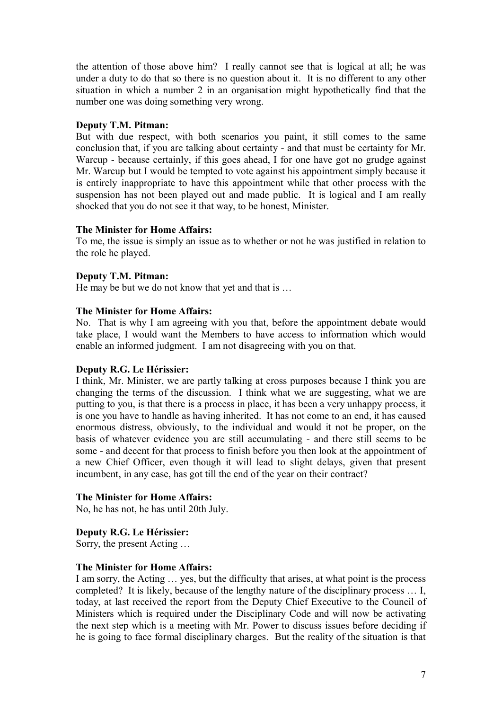the attention of those above him? I really cannot see that is logical at all; he was under a duty to do that so there is no question about it. It is no different to any other situation in which a number 2 in an organisation might hypothetically find that the number one was doing something very wrong.

#### **Deputy T.M. Pitman:**

But with due respect, with both scenarios you paint, it still comes to the same conclusion that, if you are talking about certainty - and that must be certainty for Mr. Warcup - because certainly, if this goes ahead, I for one have got no grudge against Mr. Warcup but I would be tempted to vote against his appointment simply because it is entirely inappropriate to have this appointment while that other process with the suspension has not been played out and made public. It is logical and I am really shocked that you do not see it that way, to be honest, Minister.

#### **The Minister for Home Affairs:**

To me, the issue is simply an issue as to whether or not he was justified in relation to the role he played.

#### **Deputy T.M. Pitman:**

He may be but we do not know that yet and that is …

#### **The Minister for Home Affairs:**

No. That is why I am agreeing with you that, before the appointment debate would take place, I would want the Members to have access to information which would enable an informed judgment. I am not disagreeing with you on that.

#### **Deputy R.G. Le Hérissier:**

I think, Mr. Minister, we are partly talking at cross purposes because I think you are changing the terms of the discussion. I think what we are suggesting, what we are putting to you, is that there is a process in place, it has been a very unhappy process, it is one you have to handle as having inherited. It has not come to an end, it has caused enormous distress, obviously, to the individual and would it not be proper, on the basis of whatever evidence you are still accumulating - and there still seems to be some - and decent for that process to finish before you then look at the appointment of a new Chief Officer, even though it will lead to slight delays, given that present incumbent, in any case, has got till the end of the year on their contract?

#### **The Minister for Home Affairs:**

No, he has not, he has until 20th July.

#### **Deputy R.G. Le Hérissier:**

Sorry, the present Acting …

#### **The Minister for Home Affairs:**

I am sorry, the Acting … yes, but the difficulty that arises, at what point is the process completed? It is likely, because of the lengthy nature of the disciplinary process … I, today, at last received the report from the Deputy Chief Executive to the Council of Ministers which is required under the Disciplinary Code and will now be activating the next step which is a meeting with Mr. Power to discuss issues before deciding if he is going to face formal disciplinary charges. But the reality of the situation is that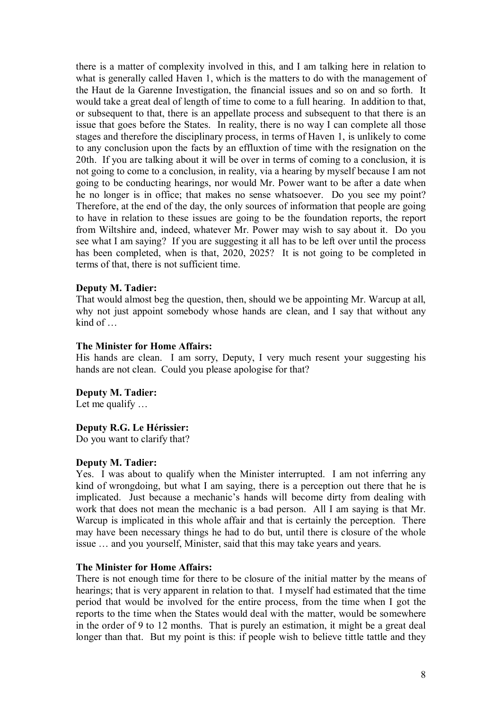there is a matter of complexity involved in this, and I am talking here in relation to what is generally called Haven 1, which is the matters to do with the management of the Haut de la Garenne Investigation, the financial issues and so on and so forth. It would take a great deal of length of time to come to a full hearing. In addition to that, or subsequent to that, there is an appellate process and subsequent to that there is an issue that goes before the States. In reality, there is no way I can complete all those stages and therefore the disciplinary process, in terms of Haven 1, is unlikely to come to any conclusion upon the facts by an effluxtion of time with the resignation on the 20th. If you are talking about it will be over in terms of coming to a conclusion, it is not going to come to a conclusion, in reality, via a hearing by myself because I am not going to be conducting hearings, nor would Mr. Power want to be after a date when he no longer is in office; that makes no sense whatsoever. Do you see my point? Therefore, at the end of the day, the only sources of information that people are going to have in relation to these issues are going to be the foundation reports, the report from Wiltshire and, indeed, whatever Mr. Power may wish to say about it. Do you see what I am saying? If you are suggesting it all has to be left over until the process has been completed, when is that, 2020, 2025? It is not going to be completed in terms of that, there is not sufficient time.

#### **Deputy M. Tadier:**

That would almost beg the question, then, should we be appointing Mr. Warcup at all, why not just appoint somebody whose hands are clean, and I say that without any kind of …

#### **The Minister for Home Affairs:**

His hands are clean. I am sorry, Deputy, I very much resent your suggesting his hands are not clean. Could you please apologise for that?

#### **Deputy M. Tadier:**

Let me qualify ...

#### **Deputy R.G. Le Hérissier:**

Do you want to clarify that?

#### **Deputy M. Tadier:**

Yes. I was about to qualify when the Minister interrupted. I am not inferring any kind of wrongdoing, but what I am saying, there is a perception out there that he is implicated. Just because a mechanic's hands will become dirty from dealing with work that does not mean the mechanic is a bad person. All I am saying is that Mr. Warcup is implicated in this whole affair and that is certainly the perception. There may have been necessary things he had to do but, until there is closure of the whole issue … and you yourself, Minister, said that this may take years and years.

#### **The Minister for Home Affairs:**

There is not enough time for there to be closure of the initial matter by the means of hearings; that is very apparent in relation to that. I myself had estimated that the time period that would be involved for the entire process, from the time when I got the reports to the time when the States would deal with the matter, would be somewhere in the order of 9 to 12 months. That is purely an estimation, it might be a great deal longer than that. But my point is this: if people wish to believe tittle tattle and they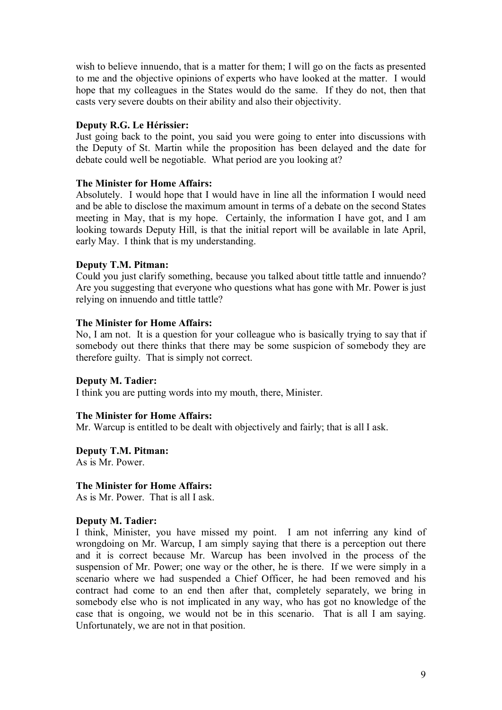wish to believe innuendo, that is a matter for them; I will go on the facts as presented to me and the objective opinions of experts who have looked at the matter. I would hope that my colleagues in the States would do the same. If they do not, then that casts very severe doubts on their ability and also their objectivity.

#### **Deputy R.G. Le Hérissier:**

Just going back to the point, you said you were going to enter into discussions with the Deputy of St. Martin while the proposition has been delayed and the date for debate could well be negotiable. What period are you looking at?

#### **The Minister for Home Affairs:**

Absolutely. I would hope that I would have in line all the information I would need and be able to disclose the maximum amount in terms of a debate on the second States meeting in May, that is my hope. Certainly, the information I have got, and I am looking towards Deputy Hill, is that the initial report will be available in late April, early May. I think that is my understanding.

#### **Deputy T.M. Pitman:**

Could you just clarify something, because you talked about tittle tattle and innuendo? Are you suggesting that everyone who questions what has gone with Mr. Power is just relying on innuendo and tittle tattle?

#### **The Minister for Home Affairs:**

No, I am not. It is a question for your colleague who is basically trying to say that if somebody out there thinks that there may be some suspicion of somebody they are therefore guilty. That is simply not correct.

#### **Deputy M. Tadier:**

I think you are putting words into my mouth, there, Minister.

#### **The Minister for Home Affairs:**

Mr. Warcup is entitled to be dealt with objectively and fairly; that is all I ask.

**Deputy T.M. Pitman:**

As is Mr. Power.

#### **The Minister for Home Affairs:**

As is Mr. Power. That is all I ask.

#### **Deputy M. Tadier:**

I think, Minister, you have missed my point. I am not inferring any kind of wrongdoing on Mr. Warcup, I am simply saying that there is a perception out there and it is correct because Mr. Warcup has been involved in the process of the suspension of Mr. Power; one way or the other, he is there. If we were simply in a scenario where we had suspended a Chief Officer, he had been removed and his contract had come to an end then after that, completely separately, we bring in somebody else who is not implicated in any way, who has got no knowledge of the case that is ongoing, we would not be in this scenario. That is all I am saying. Unfortunately, we are not in that position.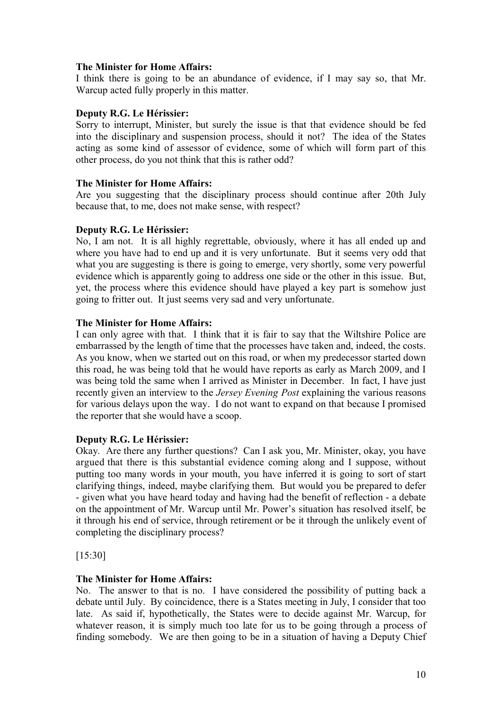#### **The Minister for Home Affairs:**

I think there is going to be an abundance of evidence, if I may say so, that Mr. Warcup acted fully properly in this matter.

#### **Deputy R.G. Le Hérissier:**

Sorry to interrupt, Minister, but surely the issue is that that evidence should be fed into the disciplinary and suspension process, should it not? The idea of the States acting as some kind of assessor of evidence, some of which will form part of this other process, do you not think that this is rather odd?

#### **The Minister for Home Affairs:**

Are you suggesting that the disciplinary process should continue after 20th July because that, to me, does not make sense, with respect?

#### **Deputy R.G. Le Hérissier:**

No, I am not. It is all highly regrettable, obviously, where it has all ended up and where you have had to end up and it is very unfortunate. But it seems very odd that what you are suggesting is there is going to emerge, very shortly, some very powerful evidence which is apparently going to address one side or the other in this issue. But, yet, the process where this evidence should have played a key part is somehow just going to fritter out. It just seems very sad and very unfortunate.

#### **The Minister for Home Affairs:**

I can only agree with that. I think that it is fair to say that the Wiltshire Police are embarrassed by the length of time that the processes have taken and, indeed, the costs. As you know, when we started out on this road, or when my predecessor started down this road, he was being told that he would have reports as early as March 2009, and I was being told the same when I arrived as Minister in December. In fact, I have just recently given an interview to the *Jersey Evening Post* explaining the various reasons for various delays upon the way. I do not want to expand on that because I promised the reporter that she would have a scoop.

#### **Deputy R.G. Le Hérissier:**

Okay. Are there any further questions? Can I ask you, Mr. Minister, okay, you have argued that there is this substantial evidence coming along and I suppose, without putting too many words in your mouth, you have inferred it is going to sort of start clarifying things, indeed, maybe clarifying them. But would you be prepared to defer - given what you have heard today and having had the benefit of reflection - a debate on the appointment of Mr. Warcup until Mr. Power's situation has resolved itself, be it through his end of service, through retirement or be it through the unlikely event of completing the disciplinary process?

[15:30]

#### **The Minister for Home Affairs:**

No. The answer to that is no. I have considered the possibility of putting back a debate until July. By coincidence, there is a States meeting in July, I consider that too late. As said if, hypothetically, the States were to decide against Mr. Warcup, for whatever reason, it is simply much too late for us to be going through a process of finding somebody. We are then going to be in a situation of having a Deputy Chief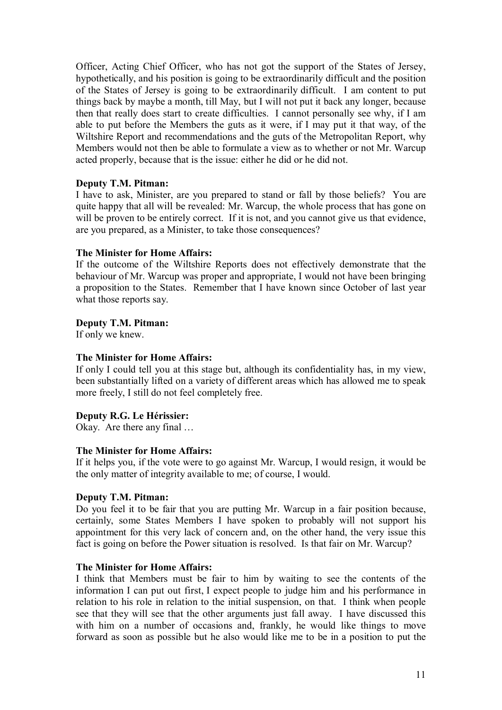Officer, Acting Chief Officer, who has not got the support of the States of Jersey, hypothetically, and his position is going to be extraordinarily difficult and the position of the States of Jersey is going to be extraordinarily difficult. I am content to put things back by maybe a month, till May, but I will not put it back any longer, because then that really does start to create difficulties. I cannot personally see why, if I am able to put before the Members the guts as it were, if I may put it that way, of the Wiltshire Report and recommendations and the guts of the Metropolitan Report, why Members would not then be able to formulate a view as to whether or not Mr. Warcup acted properly, because that is the issue: either he did or he did not.

#### **Deputy T.M. Pitman:**

I have to ask, Minister, are you prepared to stand or fall by those beliefs? You are quite happy that all will be revealed: Mr. Warcup, the whole process that has gone on will be proven to be entirely correct. If it is not, and you cannot give us that evidence, are you prepared, as a Minister, to take those consequences?

#### **The Minister for Home Affairs:**

If the outcome of the Wiltshire Reports does not effectively demonstrate that the behaviour of Mr. Warcup was proper and appropriate, I would not have been bringing a proposition to the States. Remember that I have known since October of last year what those reports say.

#### **Deputy T.M. Pitman:**

If only we knew.

#### **The Minister for Home Affairs:**

If only I could tell you at this stage but, although its confidentiality has, in my view, been substantially lifted on a variety of different areas which has allowed me to speak more freely, I still do not feel completely free.

#### **Deputy R.G. Le Hérissier:**

Okay. Are there any final …

#### **The Minister for Home Affairs:**

If it helps you, if the vote were to go against Mr. Warcup, I would resign, it would be the only matter of integrity available to me; of course, I would.

#### **Deputy T.M. Pitman:**

Do you feel it to be fair that you are putting Mr. Warcup in a fair position because, certainly, some States Members I have spoken to probably will not support his appointment for this very lack of concern and, on the other hand, the very issue this fact is going on before the Power situation is resolved. Is that fair on Mr. Warcup?

#### **The Minister for Home Affairs:**

I think that Members must be fair to him by waiting to see the contents of the information I can put out first, I expect people to judge him and his performance in relation to his role in relation to the initial suspension, on that. I think when people see that they will see that the other arguments just fall away. I have discussed this with him on a number of occasions and, frankly, he would like things to move forward as soon as possible but he also would like me to be in a position to put the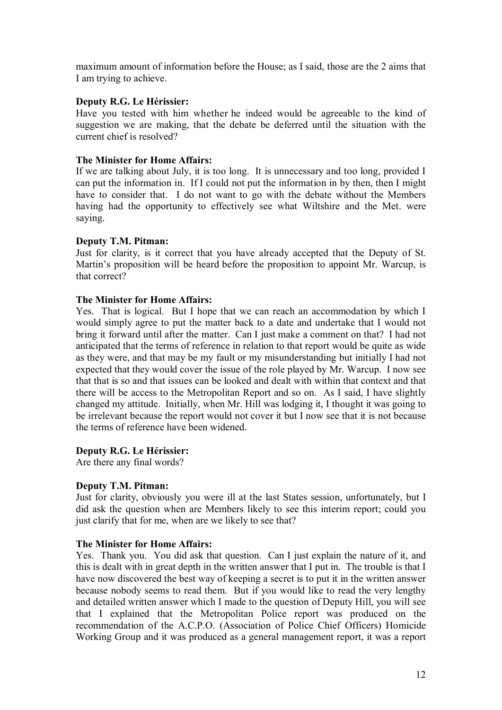maximum amount of information before the House; as I said, those are the 2 aims that I am trying to achieve.

#### **Deputy R.G. Le Hérissier:**

Have you tested with him whether he indeed would be agreeable to the kind of suggestion we are making, that the debate be deferred until the situation with the current chief is resolved?

#### **The Minister for Home Affairs:**

If we are talking about July, it is too long. It is unnecessary and too long, provided I can put the information in. If I could not put the information in by then, then I might have to consider that. I do not want to go with the debate without the Members having had the opportunity to effectively see what Wiltshire and the Met. were saying.

#### **Deputy T.M. Pitman:**

Just for clarity, is it correct that you have already accepted that the Deputy of St. Martin's proposition will be heard before the proposition to appoint Mr. Warcup, is that correct?

#### **The Minister for Home Affairs:**

Yes. That is logical. But I hope that we can reach an accommodation by which I would simply agree to put the matter back to a date and undertake that I would not bring it forward until after the matter. Can I just make a comment on that? I had not anticipated that the terms of reference in relation to that report would be quite as wide as they were, and that may be my fault or my misunderstanding but initially I had not expected that they would cover the issue of the role played by Mr. Warcup. I now see that that is so and that issues can be looked and dealt with within that context and that there will be access to the Metropolitan Report and so on. As I said, I have slightly changed my attitude. Initially, when Mr. Hill was lodging it, I thought it was going to be irrelevant because the report would not cover it but I now see that it is not because the terms of reference have been widened.

#### **Deputy R.G. Le Hérissier:**

Are there any final words?

#### **Deputy T.M. Pitman:**

Just for clarity, obviously you were ill at the last States session, unfortunately, but I did ask the question when are Members likely to see this interim report; could you just clarify that for me, when are we likely to see that?

#### **The Minister for Home Affairs:**

Yes. Thank you. You did ask that question. Can I just explain the nature of it, and this is dealt with in great depth in the written answer that I put in. The trouble is that I have now discovered the best way of keeping a secret is to put it in the written answer because nobody seems to read them. But if you would like to read the very lengthy and detailed written answer which I made to the question of Deputy Hill, you will see that I explained that the Metropolitan Police report was produced on the recommendation of the A.C.P.O. (Association of Police Chief Officers) Homicide Working Group and it was produced as a general management report, it was a report